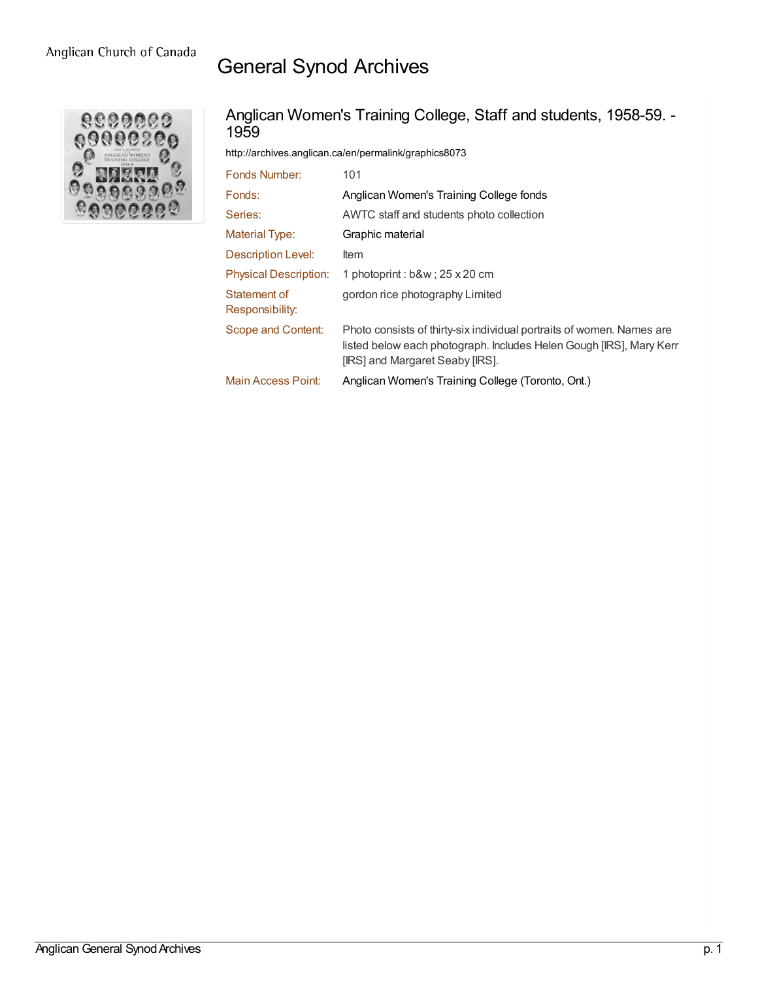## General Synod Archives



## Anglican Women's Training College, Staff and students, 1958-59. - 1959

<http://archives.anglican.ca/en/permalink/graphics8073>

| Fonds Number:                   | 101                                                                                                                                                                             |
|---------------------------------|---------------------------------------------------------------------------------------------------------------------------------------------------------------------------------|
| Fonds:                          | Anglican Women's Training College fonds                                                                                                                                         |
| Series:                         | AWTC staff and students photo collection                                                                                                                                        |
| <b>Material Type:</b>           | Graphic material                                                                                                                                                                |
| Description Level:              | ltem                                                                                                                                                                            |
| <b>Physical Description:</b>    | 1 photoprint : b&w ; 25 x 20 cm                                                                                                                                                 |
| Statement of<br>Responsibility: | gordon rice photography Limited                                                                                                                                                 |
| Scope and Content:              | Photo consists of thirty-six individual portraits of women. Names are<br>listed below each photograph. Includes Helen Gough [IRS], Mary Kerr<br>[IRS] and Margaret Seaby [IRS]. |
| <b>Main Access Point:</b>       | Anglican Women's Training College (Toronto, Ont.)                                                                                                                               |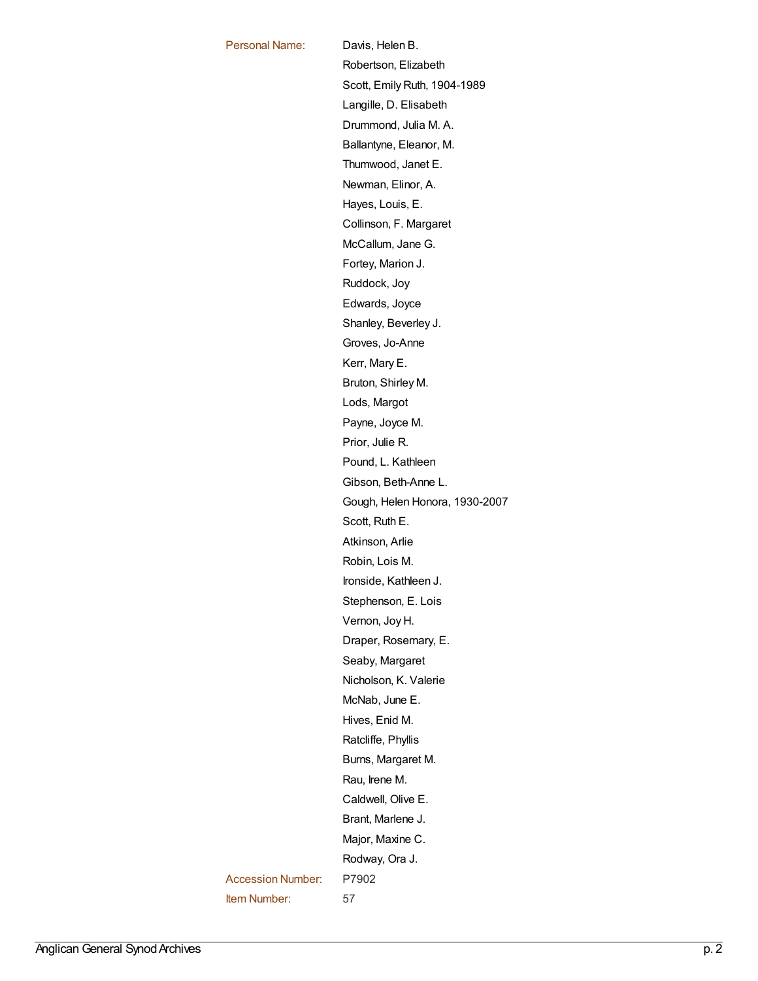Personal Name: [Davis,](http://archives.anglican.ca/en/list?q=&p=1&ps=&sort=title_sort+asc&name_facet=Davis%2c+Helen+B.) Helen B. [Robertson,](http://archives.anglican.ca/en/list?q=&p=1&ps=&sort=title_sort+asc&name_facet=Robertson%2c+Elizabeth) Elizabeth Scott, Emily Ruth, [1904-1989](http://archives.anglican.ca/en/list?q=&p=1&ps=&sort=title_sort+asc&name_facet=Scott%2c+Emily+Ruth%2c+1904-1989) Langille, D. [Elisabeth](http://archives.anglican.ca/en/list?q=&p=1&ps=&sort=title_sort+asc&name_facet=Langille%2c+D.+Elisabeth) [Drummond,](http://archives.anglican.ca/en/list?q=&p=1&ps=&sort=title_sort+asc&name_facet=Drummond%2c+Julia+M.+A.) Julia M. A. [Ballantyne,](http://archives.anglican.ca/en/list?q=&p=1&ps=&sort=title_sort+asc&name_facet=Ballantyne%2c+Eleanor%2c+M.) Eleanor, M. [Thumwood,](http://archives.anglican.ca/en/list?q=&p=1&ps=&sort=title_sort+asc&name_facet=Thumwood%2c+Janet+E.) Janet E. [Newman,](http://archives.anglican.ca/en/list?q=&p=1&ps=&sort=title_sort+asc&name_facet=Newman%2c+Elinor%2c+A.) Elinor, A. [Hayes,](http://archives.anglican.ca/en/list?q=&p=1&ps=&sort=title_sort+asc&name_facet=Hayes%2c+Louis%2c+E.) Louis, E. [Collinson,](http://archives.anglican.ca/en/list?q=&p=1&ps=&sort=title_sort+asc&name_facet=Collinson%2c+F.+Margaret) F. Margaret [McCallum,](http://archives.anglican.ca/en/list?q=&p=1&ps=&sort=title_sort+asc&name_facet=McCallum%2c+Jane+G.) Jane G. Fortey, [Marion](http://archives.anglican.ca/en/list?q=&p=1&ps=&sort=title_sort+asc&name_facet=Fortey%2c+Marion+J.) J. [Ruddock,](http://archives.anglican.ca/en/list?q=&p=1&ps=&sort=title_sort+asc&name_facet=Ruddock%2c+Joy) Joy [Edwards,](http://archives.anglican.ca/en/list?q=&p=1&ps=&sort=title_sort+asc&name_facet=Edwards%2c+Joyce) Joyce Shanley, [Beverley](http://archives.anglican.ca/en/list?q=&p=1&ps=&sort=title_sort+asc&name_facet=Shanley%2c+Beverley+J.) J. Groves, [Jo-Anne](http://archives.anglican.ca/en/list?q=&p=1&ps=&sort=title_sort+asc&name_facet=Groves%2c+Jo-Anne) Kerr, [Mary](http://archives.anglican.ca/en/list?q=&p=1&ps=&sort=title_sort+asc&name_facet=Kerr%2c+Mary+E.) E. [Bruton,](http://archives.anglican.ca/en/list?q=&p=1&ps=&sort=title_sort+asc&name_facet=Bruton%2c+Shirley+M.) Shirley M. Lods, [Margot](http://archives.anglican.ca/en/list?q=&p=1&ps=&sort=title_sort+asc&name_facet=Lods%2c+Margot) [Payne,](http://archives.anglican.ca/en/list?q=&p=1&ps=&sort=title_sort+asc&name_facet=Payne%2c+Joyce+M.) Joyce M. [Prior,](http://archives.anglican.ca/en/list?q=&p=1&ps=&sort=title_sort+asc&name_facet=Prior%2c+Julie+R.) Julie R. Pound, L. [Kathleen](http://archives.anglican.ca/en/list?q=&p=1&ps=&sort=title_sort+asc&name_facet=Pound%2c+L.+Kathleen) Gibson, [Beth-Anne](http://archives.anglican.ca/en/list?q=&p=1&ps=&sort=title_sort+asc&name_facet=Gibson%2c+Beth-Anne+L.) L. Gough, Helen Honora, [1930-2007](http://archives.anglican.ca/en/list?q=&p=1&ps=&sort=title_sort+asc&name_facet=Gough%2c+Helen+Honora%2c+1930-2007) [Scott,](http://archives.anglican.ca/en/list?q=&p=1&ps=&sort=title_sort+asc&name_facet=Scott%2c+Ruth+E.) Ruth E. [Atkinson,](http://archives.anglican.ca/en/list?q=&p=1&ps=&sort=title_sort+asc&name_facet=Atkinson%2c+Arlie) Arlie [Robin,](http://archives.anglican.ca/en/list?q=&p=1&ps=&sort=title_sort+asc&name_facet=Robin%2c+Lois+M.) Lois M. Ironside, [Kathleen](http://archives.anglican.ca/en/list?q=&p=1&ps=&sort=title_sort+asc&name_facet=Ironside%2c+Kathleen+J.) J. [Stephenson,](http://archives.anglican.ca/en/list?q=&p=1&ps=&sort=title_sort+asc&name_facet=Stephenson%2c+E.+Lois) E. Lois [Vernon,](http://archives.anglican.ca/en/list?q=&p=1&ps=&sort=title_sort+asc&name_facet=Vernon%2c+Joy+H.) Joy H. Draper, [Rosemary,](http://archives.anglican.ca/en/list?q=&p=1&ps=&sort=title_sort+asc&name_facet=Draper%2c+Rosemary%2c+E.) E. Seaby, [Margaret](http://archives.anglican.ca/en/list?q=&p=1&ps=&sort=title_sort+asc&name_facet=Seaby%2c+Margaret) [Nicholson,](http://archives.anglican.ca/en/list?q=&p=1&ps=&sort=title_sort+asc&name_facet=Nicholson%2c+K.+Valerie) K. Valerie [McNab,](http://archives.anglican.ca/en/list?q=&p=1&ps=&sort=title_sort+asc&name_facet=McNab%2c+June+E.) June E. [Hives,](http://archives.anglican.ca/en/list?q=&p=1&ps=&sort=title_sort+asc&name_facet=Hives%2c+Enid+M.) Enid M. [Ratcliffe,](http://archives.anglican.ca/en/list?q=&p=1&ps=&sort=title_sort+asc&name_facet=Ratcliffe%2c+Phyllis) Phyllis Burns, [Margaret](http://archives.anglican.ca/en/list?q=&p=1&ps=&sort=title_sort+asc&name_facet=Burns%2c+Margaret+M.) M. Rau, [Irene](http://archives.anglican.ca/en/list?q=&p=1&ps=&sort=title_sort+asc&name_facet=Rau%2c+Irene+M.) M. [Caldwell,](http://archives.anglican.ca/en/list?q=&p=1&ps=&sort=title_sort+asc&name_facet=Caldwell%2c+Olive+E.) Olive E. Brant, [Marlene](http://archives.anglican.ca/en/list?q=&p=1&ps=&sort=title_sort+asc&name_facet=Brant%2c+Marlene+J.) J. Major, [Maxine](http://archives.anglican.ca/en/list?q=&p=1&ps=&sort=title_sort+asc&name_facet=Major%2c+Maxine+C.) C. [Rodway,](http://archives.anglican.ca/en/list?q=&p=1&ps=&sort=title_sort+asc&name_facet=Rodway%2c+Ora+J.) Ora J. Accession Number: P7902 Item Number: 57